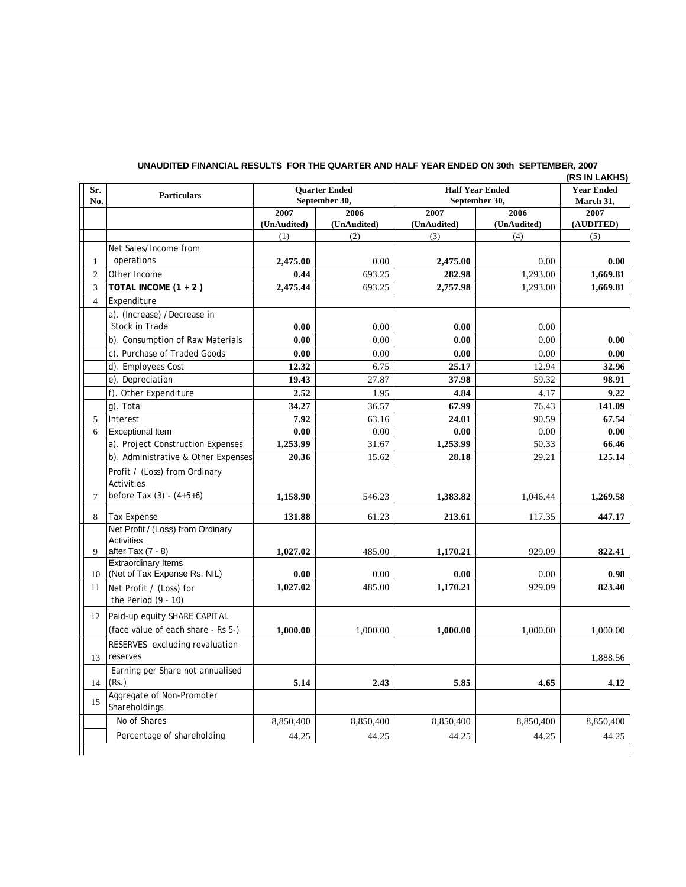| Sr.<br>No.     | <b>Particulars</b>                                                            | <b>Ouarter Ended</b><br>September 30, |                     | <b>Half Year Ended</b><br>September 30, |                     | <b>Year Ended</b><br>March 31, |
|----------------|-------------------------------------------------------------------------------|---------------------------------------|---------------------|-----------------------------------------|---------------------|--------------------------------|
|                |                                                                               | 2007<br>(UnAudited)                   | 2006<br>(UnAudited) | 2007<br>(UnAudited)                     | 2006<br>(UnAudited) | 2007<br>(AUDITED)              |
|                |                                                                               | (1)                                   | (2)                 | (3)                                     | (4)                 | (5)                            |
|                | Net Sales/Income from                                                         |                                       |                     |                                         |                     |                                |
| $\mathbf{1}$   | operations                                                                    | 2,475.00                              | 0.00                | 2,475.00                                | 0.00                | 0.00                           |
| $\overline{2}$ | Other Income                                                                  | 0.44                                  | 693.25              | 282.98                                  | 1,293.00            | 1,669.81                       |
| 3              | TOTAL INCOME $(1 + 2)$                                                        | 2,475.44                              | 693.25              | 2,757.98                                | 1.293.00            | 1,669.81                       |
| $\overline{4}$ | Expenditure                                                                   |                                       |                     |                                         |                     |                                |
|                | a). (Increase) /Decrease in                                                   |                                       |                     |                                         |                     |                                |
|                | Stock in Trade                                                                | 0.00                                  | 0.00                | 0.00                                    | 0.00                |                                |
|                | b). Consumption of Raw Materials                                              | 0.00                                  | 0.00                | 0.00                                    | 0.00                | 0.00                           |
|                | c). Purchase of Traded Goods                                                  | 0.00                                  | 0.00                | 0.00                                    | 0.00                | 0.00                           |
|                | d). Employees Cost                                                            | 12.32                                 | 6.75                | 25.17                                   | 12.94               | 32.96                          |
|                | e). Depreciation                                                              | 19.43                                 | 27.87               | 37.98                                   | 59.32               | 98.91                          |
|                | f). Other Expenditure                                                         | 2.52                                  | 1.95                | 4.84                                    | 4.17                | 9.22                           |
|                | g). Total                                                                     | 34.27                                 | 36.57               | 67.99                                   | 76.43               | 141.09                         |
| 5              | Interest                                                                      | 7.92                                  | 63.16               | 24.01                                   | 90.59               | 67.54                          |
| 6              | <b>Exceptional Item</b>                                                       | 0.00                                  | 0.00                | 0.00                                    | 0.00                | 0.00                           |
|                | a). Project Construction Expenses                                             | 1,253.99                              | 31.67               | 1,253.99                                | 50.33               | 66.46                          |
|                | b). Administrative & Other Expenses                                           | 20.36                                 | 15.62               | 28.18                                   | 29.21               | 125.14                         |
| $\overline{7}$ | Profit / (Loss) from Ordinary<br>Activities<br>before Tax (3) - (4+5+6)       | 1,158.90                              | 546.23              | 1,383.82                                | 1,046.44            | 1,269.58                       |
| 8              | <b>Tax Expense</b>                                                            | 131.88                                | 61.23               | 213.61                                  | 117.35              | 447.17                         |
| 9              | Net Profit / (Loss) from Ordinary<br><b>Activities</b><br>after Tax $(7 - 8)$ | 1,027.02                              | 485.00              | 1,170.21                                | 929.09              | 822.41                         |
|                | <b>Extraordinary Items</b>                                                    |                                       |                     |                                         |                     |                                |
| 10             | (Net of Tax Expense Rs. NIL)                                                  | 0.00                                  | 0.00                | 0.00                                    | 0.00                | 0.98                           |
| 11             | Net Profit / (Loss) for<br>the Period $(9 - 10)$                              | 1,027.02                              | 485.00              | 1,170.21                                | 929.09              | 823.40                         |
| 12             | Paid-up equity SHARE CAPITAL<br>(face value of each share - Rs 5-)            | 1,000.00                              | 1,000.00            | 1,000.00                                | 1,000.00            | 1,000.00                       |
| 13             | RESERVES excluding revaluation<br>reserves                                    |                                       |                     |                                         |                     | 1,888.56                       |
| 14             | Earning per Share not annualised<br>(Rs.)                                     | 5.14                                  | 2.43                | 5.85                                    | 4.65                | 4.12                           |
| 15             | Aggregate of Non-Promoter<br>Shareholdings                                    |                                       |                     |                                         |                     |                                |
|                | No of Shares                                                                  | 8,850,400                             | 8,850,400           | 8,850,400                               | 8,850,400           | 8,850,400                      |
|                | Percentage of shareholding                                                    | 44.25                                 | 44.25               | 44.25                                   | 44.25               | 44.25                          |

## **UNAUDITED FINANCIAL RESULTS FOR THE QUARTER AND HALF YEAR ENDED ON 30th SEPTEMBER, 2007**